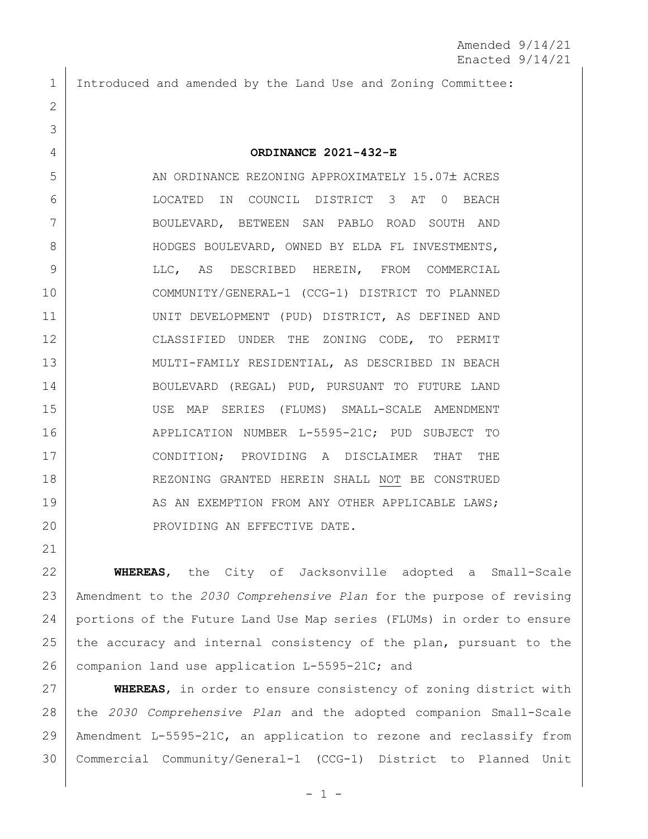Introduced and amended by the Land Use and Zoning Committee:

## **ORDINANCE 2021-432-E**

5 AN ORDINANCE REZONING APPROXIMATELY 15.07± ACRES LOCATED IN COUNCIL DISTRICT 3 AT 0 BEACH BOULEVARD, BETWEEN SAN PABLO ROAD SOUTH AND 8 HODGES BOULEVARD, OWNED BY ELDA FL INVESTMENTS, LLC, AS DESCRIBED HEREIN, FROM COMMERCIAL COMMUNITY/GENERAL-1 (CCG-1) DISTRICT TO PLANNED 11 | UNIT DEVELOPMENT (PUD) DISTRICT, AS DEFINED AND 12 CLASSIFIED UNDER THE ZONING CODE, TO PERMIT MULTI-FAMILY RESIDENTIAL, AS DESCRIBED IN BEACH BOULEVARD (REGAL) PUD, PURSUANT TO FUTURE LAND USE MAP SERIES (FLUMS) SMALL-SCALE AMENDMENT 16 APPLICATION NUMBER L-5595-21C; PUD SUBJECT TO CONDITION; PROVIDING A DISCLAIMER THAT THE 18 REZONING GRANTED HEREIN SHALL NOT BE CONSTRUED 19 AS AN EXEMPTION FROM ANY OTHER APPLICABLE LAWS; 20 PROVIDING AN EFFECTIVE DATE.

 **WHEREAS**, the City of Jacksonville adopted a Small-Scale Amendment to the *2030 Comprehensive Plan* for the purpose of revising portions of the Future Land Use Map series (FLUMs) in order to ensure 25 the accuracy and internal consistency of the plan, pursuant to the 26 companion land use application L-5595-21C; and

 **WHEREAS**, in order to ensure consistency of zoning district with the *2030 Comprehensive Plan* and the adopted companion Small-Scale Amendment L-5595-21C, an application to rezone and reclassify from Commercial Community/General-1 (CCG-1) District to Planned Unit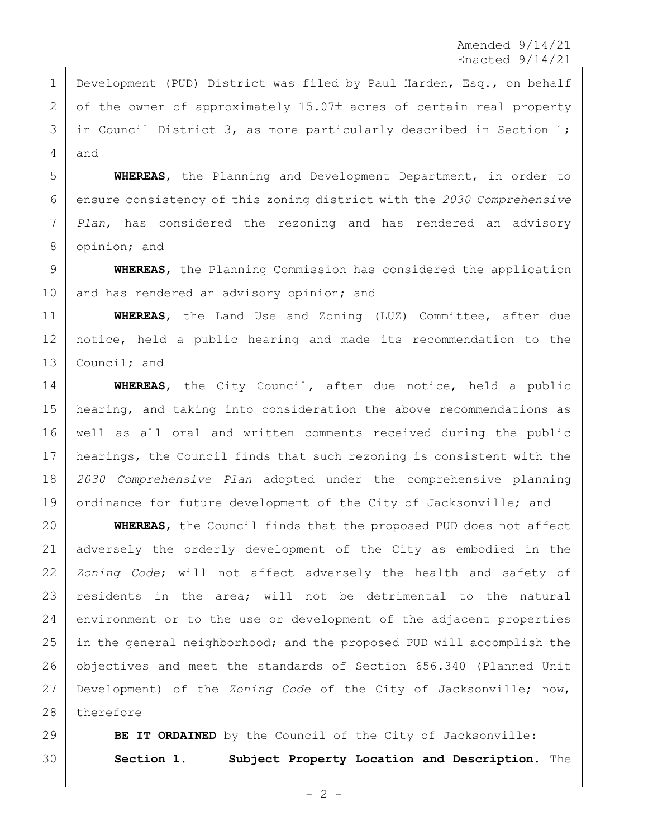Amended 9/14/21 Enacted 9/14/21

 Development (PUD) District was filed by Paul Harden, Esq., on behalf  $2 \mid$  of the owner of approximately 15.07 $\pm$  acres of certain real property 3 in Council District 3, as more particularly described in Section 1; and

 **WHEREAS**, the Planning and Development Department, in order to ensure consistency of this zoning district with the *2030 Comprehensive Plan*, has considered the rezoning and has rendered an advisory 8 opinion; and

 **WHEREAS**, the Planning Commission has considered the application 10 and has rendered an advisory opinion; and

 **WHEREAS**, the Land Use and Zoning (LUZ) Committee, after due notice, held a public hearing and made its recommendation to the 13 Council; and

 **WHEREAS**, the City Council, after due notice, held a public 15 | hearing, and taking into consideration the above recommendations as well as all oral and written comments received during the public hearings, the Council finds that such rezoning is consistent with the *2030 Comprehensive Plan* adopted under the comprehensive planning 19 ordinance for future development of the City of Jacksonville; and

 **WHEREAS**, the Council finds that the proposed PUD does not affect adversely the orderly development of the City as embodied in the *Zoning Code*; will not affect adversely the health and safety of residents in the area; will not be detrimental to the natural 24 environment or to the use or development of the adjacent properties in the general neighborhood; and the proposed PUD will accomplish the 26 | objectives and meet the standards of Section 656.340 (Planned Unit Development) of the *Zoning Code* of the City of Jacksonville; now, 28 therefore

**BE IT ORDAINED** by the Council of the City of Jacksonville: **Section 1. Subject Property Location and Description.** The

 $- 2 -$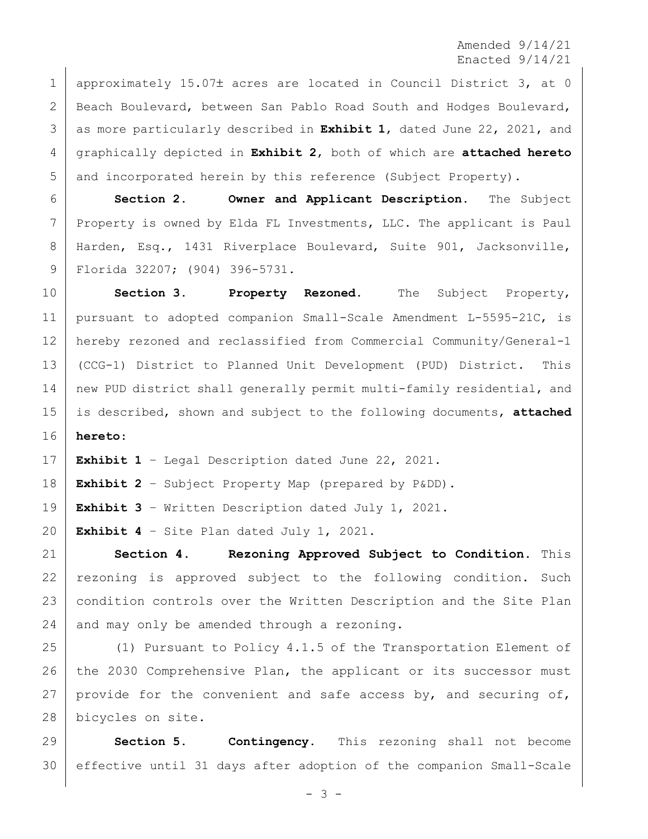Amended 9/14/21 Enacted 9/14/21

1 approximately 15.07± acres are located in Council District 3, at 0 2 Beach Boulevard, between San Pablo Road South and Hodges Boulevard, as more particularly described in **Exhibit 1**, dated June 22, 2021, and graphically depicted in **Exhibit 2**, both of which are **attached hereto** and incorporated herein by this reference (Subject Property).

 **Section 2. Owner and Applicant Description.** The Subject 7 Property is owned by Elda FL Investments, LLC. The applicant is Paul Harden, Esq., 1431 Riverplace Boulevard, Suite 901, Jacksonville, Florida 32207; (904) 396-5731.

 **Section 3. Property Rezoned.** The Subject Property, pursuant to adopted companion Small-Scale Amendment L-5595-21C, is hereby rezoned and reclassified from Commercial Community/General-1 (CCG-1) District to Planned Unit Development (PUD) District. This 14 | new PUD district shall generally permit multi-family residential, and is described, shown and subject to the following documents, **attached hereto**:

**Exhibit 1** – Legal Description dated June 22, 2021.

**Exhibit 2** – Subject Property Map (prepared by P&DD).

**Exhibit 3** – Written Description dated July 1, 2021.

**Exhibit 4** – Site Plan dated July 1, 2021.

 **Section 4. Rezoning Approved Subject to Condition.** This 22 rezoning is approved subject to the following condition. Such condition controls over the Written Description and the Site Plan and may only be amended through a rezoning.

 (1) Pursuant to Policy 4.1.5 of the Transportation Element of 26 the 2030 Comprehensive Plan, the applicant or its successor must 27 | provide for the convenient and safe access by, and securing of, bicycles on site.

 **Section 5. Contingency.** This rezoning shall not become effective until 31 days after adoption of the companion Small-Scale

- 3 -